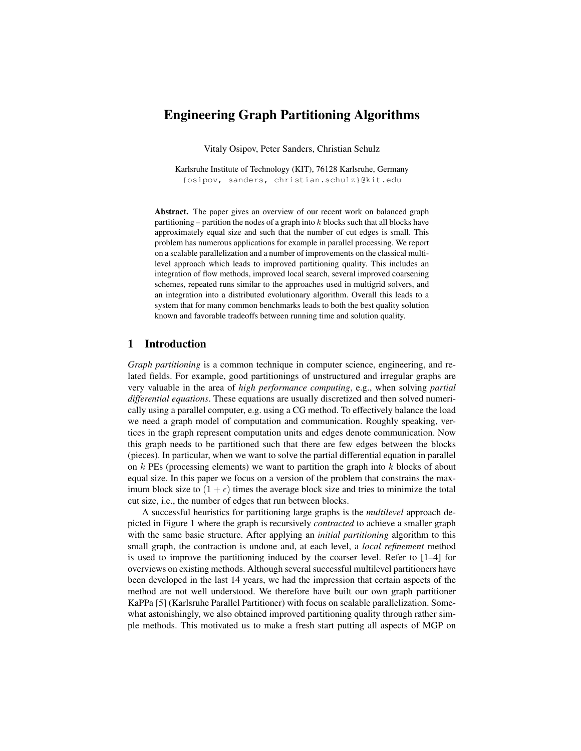# Engineering Graph Partitioning Algorithms

Vitaly Osipov, Peter Sanders, Christian Schulz

Karlsruhe Institute of Technology (KIT), 76128 Karlsruhe, Germany {osipov, sanders, christian.schulz}@kit.edu

Abstract. The paper gives an overview of our recent work on balanced graph partitioning – partition the nodes of a graph into  $k$  blocks such that all blocks have approximately equal size and such that the number of cut edges is small. This problem has numerous applications for example in parallel processing. We report on a scalable parallelization and a number of improvements on the classical multilevel approach which leads to improved partitioning quality. This includes an integration of flow methods, improved local search, several improved coarsening schemes, repeated runs similar to the approaches used in multigrid solvers, and an integration into a distributed evolutionary algorithm. Overall this leads to a system that for many common benchmarks leads to both the best quality solution known and favorable tradeoffs between running time and solution quality.

# 1 Introduction

*Graph partitioning* is a common technique in computer science, engineering, and related fields. For example, good partitionings of unstructured and irregular graphs are very valuable in the area of *high performance computing*, e.g., when solving *partial differential equations*. These equations are usually discretized and then solved numerically using a parallel computer, e.g. using a CG method. To effectively balance the load we need a graph model of computation and communication. Roughly speaking, vertices in the graph represent computation units and edges denote communication. Now this graph needs to be partitioned such that there are few edges between the blocks (pieces). In particular, when we want to solve the partial differential equation in parallel on  $k$  PEs (processing elements) we want to partition the graph into  $k$  blocks of about equal size. In this paper we focus on a version of the problem that constrains the maximum block size to  $(1 + \epsilon)$  times the average block size and tries to minimize the total cut size, i.e., the number of edges that run between blocks.

A successful heuristics for partitioning large graphs is the *multilevel* approach depicted in Figure 1 where the graph is recursively *contracted* to achieve a smaller graph with the same basic structure. After applying an *initial partitioning* algorithm to this small graph, the contraction is undone and, at each level, a *local refinement* method is used to improve the partitioning induced by the coarser level. Refer to [1–4] for overviews on existing methods. Although several successful multilevel partitioners have been developed in the last 14 years, we had the impression that certain aspects of the method are not well understood. We therefore have built our own graph partitioner KaPPa [5] (Karlsruhe Parallel Partitioner) with focus on scalable parallelization. Somewhat astonishingly, we also obtained improved partitioning quality through rather simple methods. This motivated us to make a fresh start putting all aspects of MGP on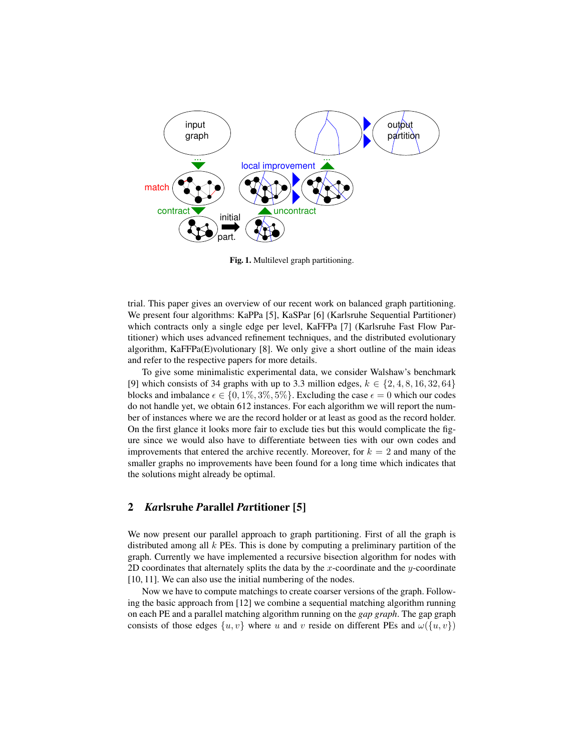

Fig. 1. Multilevel graph partitioning.

trial. This paper gives an overview of our recent work on balanced graph partitioning. We present four algorithms: KaPPa [5], KaSPar [6] (Karlsruhe Sequential Partitioner) which contracts only a single edge per level, KaFFPa [7] (Karlsruhe Fast Flow Partitioner) which uses advanced refinement techniques, and the distributed evolutionary algorithm, KaFFPa(E)volutionary [8]. We only give a short outline of the main ideas and refer to the respective papers for more details.

To give some minimalistic experimental data, we consider Walshaw's benchmark [9] which consists of 34 graphs with up to 3.3 million edges,  $k \in \{2, 4, 8, 16, 32, 64\}$ blocks and imbalance  $\epsilon \in \{0, 1\%, 3\%, 5\% \}$ . Excluding the case  $\epsilon = 0$  which our codes do not handle yet, we obtain 612 instances. For each algorithm we will report the number of instances where we are the record holder or at least as good as the record holder. On the first glance it looks more fair to exclude ties but this would complicate the figure since we would also have to differentiate between ties with our own codes and improvements that entered the archive recently. Moreover, for  $k = 2$  and many of the smaller graphs no improvements have been found for a long time which indicates that the solutions might already be optimal.

### 2 *Ka*rlsruhe *P*arallel *Pa*rtitioner [5]

We now present our parallel approach to graph partitioning. First of all the graph is distributed among all  $k$  PEs. This is done by computing a preliminary partition of the graph. Currently we have implemented a recursive bisection algorithm for nodes with 2D coordinates that alternately splits the data by the  $x$ -coordinate and the  $y$ -coordinate [10, 11]. We can also use the initial numbering of the nodes.

Now we have to compute matchings to create coarser versions of the graph. Following the basic approach from [12] we combine a sequential matching algorithm running on each PE and a parallel matching algorithm running on the *gap graph*. The gap graph consists of those edges  $\{u, v\}$  where u and v reside on different PEs and  $\omega(\{u, v\})$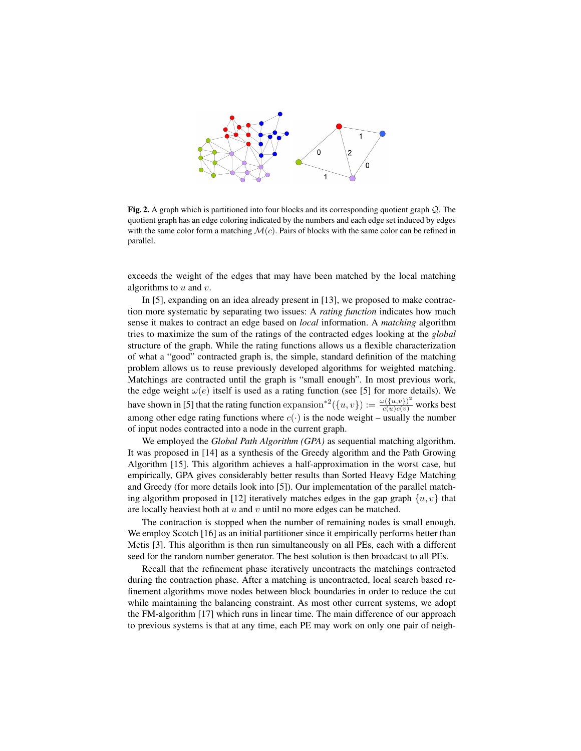

Fig. 2. A graph which is partitioned into four blocks and its corresponding quotient graph Q. The quotient graph has an edge coloring indicated by the numbers and each edge set induced by edges with the same color form a matching  $\mathcal{M}(c)$ . Pairs of blocks with the same color can be refined in parallel.

exceeds the weight of the edges that may have been matched by the local matching algorithms to  $u$  and  $v$ .

In [5], expanding on an idea already present in [13], we proposed to make contraction more systematic by separating two issues: A *rating function* indicates how much sense it makes to contract an edge based on *local* information. A *matching* algorithm tries to maximize the sum of the ratings of the contracted edges looking at the *global* structure of the graph. While the rating functions allows us a flexible characterization of what a "good" contracted graph is, the simple, standard definition of the matching problem allows us to reuse previously developed algorithms for weighted matching. Matchings are contracted until the graph is "small enough". In most previous work, the edge weight  $\omega(e)$  itself is used as a rating function (see [5] for more details). We have shown in [5] that the rating function  $\exp \operatorname{an sion}^{*2}(\{u, v\}) := \frac{\omega(\{u, v\})^2}{c(u)c(v)}$  works best among other edge rating functions where  $c(\cdot)$  is the node weight – usually the number of input nodes contracted into a node in the current graph.

We employed the *Global Path Algorithm (GPA)* as sequential matching algorithm. It was proposed in [14] as a synthesis of the Greedy algorithm and the Path Growing Algorithm [15]. This algorithm achieves a half-approximation in the worst case, but empirically, GPA gives considerably better results than Sorted Heavy Edge Matching and Greedy (for more details look into [5]). Our implementation of the parallel matching algorithm proposed in [12] iteratively matches edges in the gap graph  $\{u, v\}$  that are locally heaviest both at  $u$  and  $v$  until no more edges can be matched.

The contraction is stopped when the number of remaining nodes is small enough. We employ Scotch [16] as an initial partitioner since it empirically performs better than Metis [3]. This algorithm is then run simultaneously on all PEs, each with a different seed for the random number generator. The best solution is then broadcast to all PEs.

Recall that the refinement phase iteratively uncontracts the matchings contracted during the contraction phase. After a matching is uncontracted, local search based refinement algorithms move nodes between block boundaries in order to reduce the cut while maintaining the balancing constraint. As most other current systems, we adopt the FM-algorithm [17] which runs in linear time. The main difference of our approach to previous systems is that at any time, each PE may work on only one pair of neigh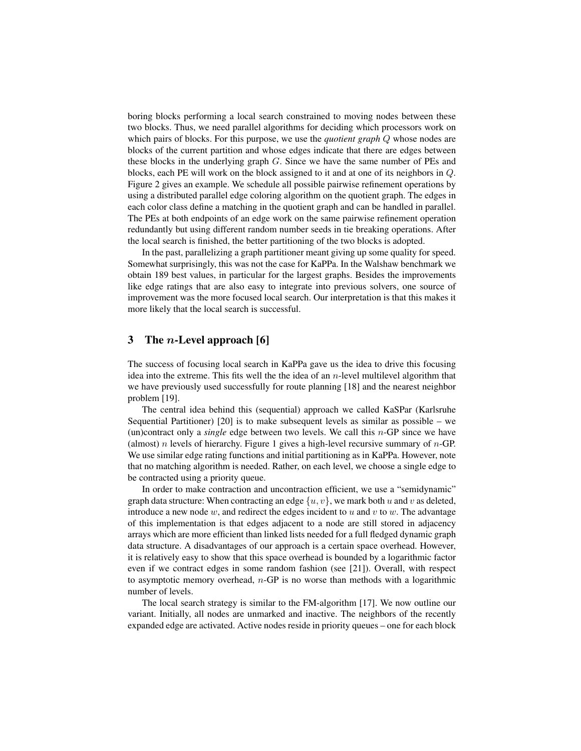boring blocks performing a local search constrained to moving nodes between these two blocks. Thus, we need parallel algorithms for deciding which processors work on which pairs of blocks. For this purpose, we use the *quotient graph* Q whose nodes are blocks of the current partition and whose edges indicate that there are edges between these blocks in the underlying graph  $G$ . Since we have the same number of PEs and blocks, each PE will work on the block assigned to it and at one of its neighbors in Q. Figure 2 gives an example. We schedule all possible pairwise refinement operations by using a distributed parallel edge coloring algorithm on the quotient graph. The edges in each color class define a matching in the quotient graph and can be handled in parallel. The PEs at both endpoints of an edge work on the same pairwise refinement operation redundantly but using different random number seeds in tie breaking operations. After the local search is finished, the better partitioning of the two blocks is adopted.

In the past, parallelizing a graph partitioner meant giving up some quality for speed. Somewhat surprisingly, this was not the case for KaPPa. In the Walshaw benchmark we obtain 189 best values, in particular for the largest graphs. Besides the improvements like edge ratings that are also easy to integrate into previous solvers, one source of improvement was the more focused local search. Our interpretation is that this makes it more likely that the local search is successful.

## 3 The *n*-Level approach  $[6]$

The success of focusing local search in KaPPa gave us the idea to drive this focusing idea into the extreme. This fits well the the idea of an  $n$ -level multilevel algorithm that we have previously used successfully for route planning [18] and the nearest neighbor problem [19].

The central idea behind this (sequential) approach we called KaSPar (Karlsruhe Sequential Partitioner) [20] is to make subsequent levels as similar as possible – we (un)contract only a *single* edge between two levels. We call this n-GP since we have (almost) n levels of hierarchy. Figure 1 gives a high-level recursive summary of  $n$ -GP. We use similar edge rating functions and initial partitioning as in KaPPa. However, note that no matching algorithm is needed. Rather, on each level, we choose a single edge to be contracted using a priority queue.

In order to make contraction and uncontraction efficient, we use a "semidynamic" graph data structure: When contracting an edge  $\{u, v\}$ , we mark both u and v as deleted, introduce a new node  $w$ , and redirect the edges incident to  $u$  and  $v$  to  $w$ . The advantage of this implementation is that edges adjacent to a node are still stored in adjacency arrays which are more efficient than linked lists needed for a full fledged dynamic graph data structure. A disadvantages of our approach is a certain space overhead. However, it is relatively easy to show that this space overhead is bounded by a logarithmic factor even if we contract edges in some random fashion (see [21]). Overall, with respect to asymptotic memory overhead,  $n$ -GP is no worse than methods with a logarithmic number of levels.

The local search strategy is similar to the FM-algorithm [17]. We now outline our variant. Initially, all nodes are unmarked and inactive. The neighbors of the recently expanded edge are activated. Active nodes reside in priority queues – one for each block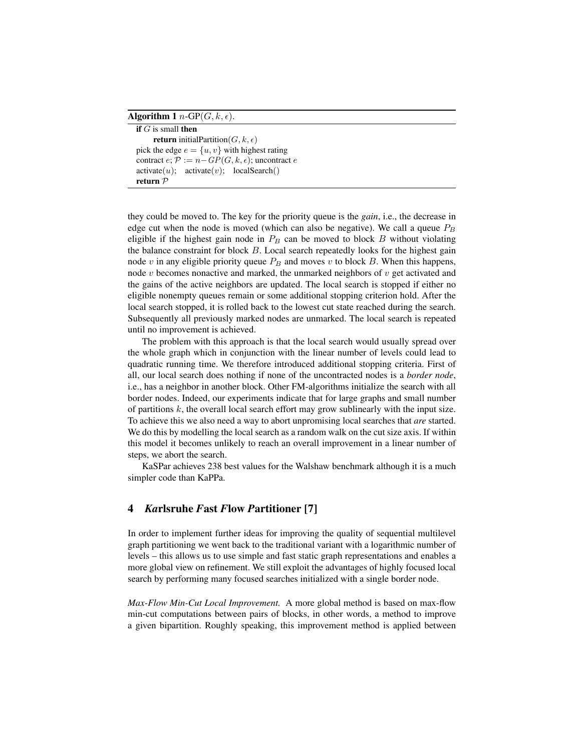Algorithm 1  $n\text{-GP}(G, k, \epsilon)$ .

if  $G$  is small then **return** initialPartition( $G, k, \epsilon$ ) pick the edge  $e = \{u, v\}$  with highest rating contract  $e; \mathcal{P} := n - GP(G, k, \epsilon)$ ; uncontract e  $\text{active}(u)$ ;  $\text{active}(v)$ ;  $\text{localSearch}()$ return P

they could be moved to. The key for the priority queue is the *gain*, i.e., the decrease in edge cut when the node is moved (which can also be negative). We call a queue  $P_B$ eligible if the highest gain node in  $P_B$  can be moved to block  $B$  without violating the balance constraint for block  $B$ . Local search repeatedly looks for the highest gain node v in any eligible priority queue  $P_B$  and moves v to block B. When this happens, node  $v$  becomes nonactive and marked, the unmarked neighbors of  $v$  get activated and the gains of the active neighbors are updated. The local search is stopped if either no eligible nonempty queues remain or some additional stopping criterion hold. After the local search stopped, it is rolled back to the lowest cut state reached during the search. Subsequently all previously marked nodes are unmarked. The local search is repeated until no improvement is achieved.

The problem with this approach is that the local search would usually spread over the whole graph which in conjunction with the linear number of levels could lead to quadratic running time. We therefore introduced additional stopping criteria. First of all, our local search does nothing if none of the uncontracted nodes is a *border node*, i.e., has a neighbor in another block. Other FM-algorithms initialize the search with all border nodes. Indeed, our experiments indicate that for large graphs and small number of partitions  $k$ , the overall local search effort may grow sublinearly with the input size. To achieve this we also need a way to abort unpromising local searches that *are* started. We do this by modelling the local search as a random walk on the cut size axis. If within this model it becomes unlikely to reach an overall improvement in a linear number of steps, we abort the search.

KaSPar achieves 238 best values for the Walshaw benchmark although it is a much simpler code than KaPPa.

### 4 *Ka*rlsruhe *F*ast *F*low *P*artitioner [7]

In order to implement further ideas for improving the quality of sequential multilevel graph partitioning we went back to the traditional variant with a logarithmic number of levels – this allows us to use simple and fast static graph representations and enables a more global view on refinement. We still exploit the advantages of highly focused local search by performing many focused searches initialized with a single border node.

*Max-Flow Min-Cut Local Improvement.* A more global method is based on max-flow min-cut computations between pairs of blocks, in other words, a method to improve a given bipartition. Roughly speaking, this improvement method is applied between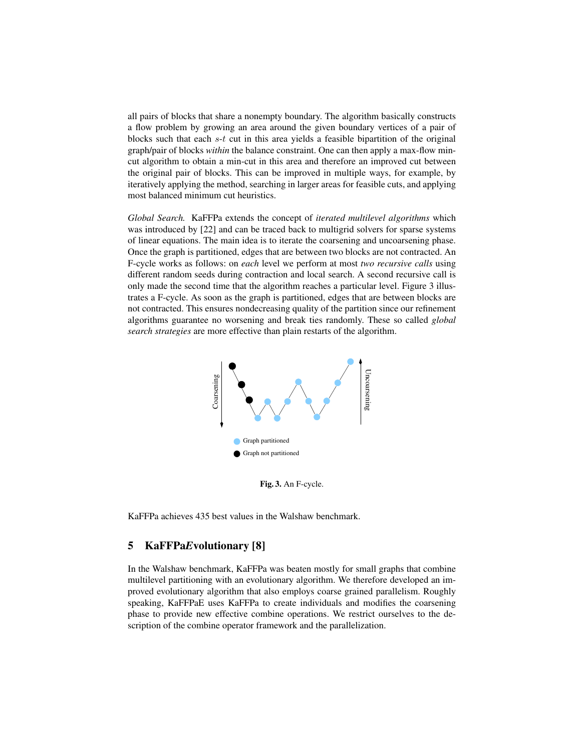all pairs of blocks that share a nonempty boundary. The algorithm basically constructs a flow problem by growing an area around the given boundary vertices of a pair of blocks such that each  $s-t$  cut in this area yields a feasible bipartition of the original graph/pair of blocks *within* the balance constraint. One can then apply a max-flow mincut algorithm to obtain a min-cut in this area and therefore an improved cut between the original pair of blocks. This can be improved in multiple ways, for example, by iteratively applying the method, searching in larger areas for feasible cuts, and applying most balanced minimum cut heuristics.

*Global Search.* KaFFPa extends the concept of *iterated multilevel algorithms* which was introduced by [22] and can be traced back to multigrid solvers for sparse systems of linear equations. The main idea is to iterate the coarsening and uncoarsening phase. Once the graph is partitioned, edges that are between two blocks are not contracted. An F-cycle works as follows: on *each* level we perform at most *two recursive calls* using different random seeds during contraction and local search. A second recursive call is only made the second time that the algorithm reaches a particular level. Figure 3 illustrates a F-cycle. As soon as the graph is partitioned, edges that are between blocks are not contracted. This ensures nondecreasing quality of the partition since our refinement algorithms guarantee no worsening and break ties randomly. These so called *global search strategies* are more effective than plain restarts of the algorithm.



Fig. 3. An F-cycle.

KaFFPa achieves 435 best values in the Walshaw benchmark.

#### 5 KaFFPa*E*volutionary [8]

In the Walshaw benchmark, KaFFPa was beaten mostly for small graphs that combine multilevel partitioning with an evolutionary algorithm. We therefore developed an improved evolutionary algorithm that also employs coarse grained parallelism. Roughly speaking, KaFFPaE uses KaFFPa to create individuals and modifies the coarsening phase to provide new effective combine operations. We restrict ourselves to the description of the combine operator framework and the parallelization.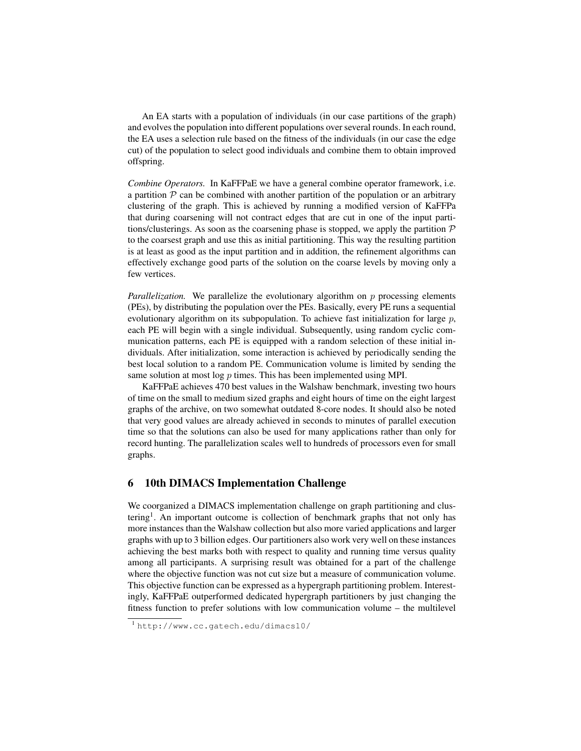An EA starts with a population of individuals (in our case partitions of the graph) and evolves the population into different populations over several rounds. In each round, the EA uses a selection rule based on the fitness of the individuals (in our case the edge cut) of the population to select good individuals and combine them to obtain improved offspring.

*Combine Operators.* In KaFFPaE we have a general combine operator framework, i.e. a partition  $P$  can be combined with another partition of the population or an arbitrary clustering of the graph. This is achieved by running a modified version of KaFFPa that during coarsening will not contract edges that are cut in one of the input partitions/clusterings. As soon as the coarsening phase is stopped, we apply the partition  $P$ to the coarsest graph and use this as initial partitioning. This way the resulting partition is at least as good as the input partition and in addition, the refinement algorithms can effectively exchange good parts of the solution on the coarse levels by moving only a few vertices.

*Parallelization.* We parallelize the evolutionary algorithm on  $p$  processing elements (PEs), by distributing the population over the PEs. Basically, every PE runs a sequential evolutionary algorithm on its subpopulation. To achieve fast initialization for large  $p$ , each PE will begin with a single individual. Subsequently, using random cyclic communication patterns, each PE is equipped with a random selection of these initial individuals. After initialization, some interaction is achieved by periodically sending the best local solution to a random PE. Communication volume is limited by sending the same solution at most log  $p$  times. This has been implemented using MPI.

KaFFPaE achieves 470 best values in the Walshaw benchmark, investing two hours of time on the small to medium sized graphs and eight hours of time on the eight largest graphs of the archive, on two somewhat outdated 8-core nodes. It should also be noted that very good values are already achieved in seconds to minutes of parallel execution time so that the solutions can also be used for many applications rather than only for record hunting. The parallelization scales well to hundreds of processors even for small graphs.

### 6 10th DIMACS Implementation Challenge

We coorganized a DIMACS implementation challenge on graph partitioning and clustering<sup>1</sup>. An important outcome is collection of benchmark graphs that not only has more instances than the Walshaw collection but also more varied applications and larger graphs with up to 3 billion edges. Our partitioners also work very well on these instances achieving the best marks both with respect to quality and running time versus quality among all participants. A surprising result was obtained for a part of the challenge where the objective function was not cut size but a measure of communication volume. This objective function can be expressed as a hypergraph partitioning problem. Interestingly, KaFFPaE outperformed dedicated hypergraph partitioners by just changing the fitness function to prefer solutions with low communication volume – the multilevel

<sup>1</sup> http://www.cc.gatech.edu/dimacs10/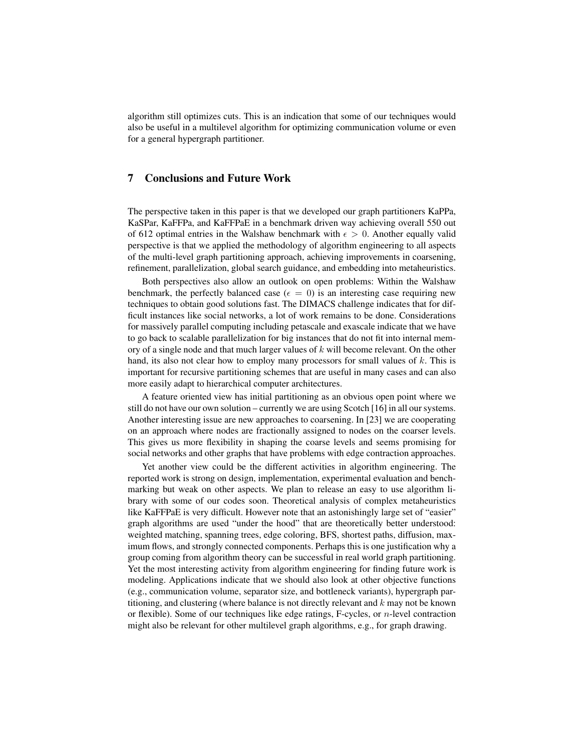algorithm still optimizes cuts. This is an indication that some of our techniques would also be useful in a multilevel algorithm for optimizing communication volume or even for a general hypergraph partitioner.

# 7 Conclusions and Future Work

The perspective taken in this paper is that we developed our graph partitioners KaPPa, KaSPar, KaFFPa, and KaFFPaE in a benchmark driven way achieving overall 550 out of 612 optimal entries in the Walshaw benchmark with  $\epsilon > 0$ . Another equally valid perspective is that we applied the methodology of algorithm engineering to all aspects of the multi-level graph partitioning approach, achieving improvements in coarsening, refinement, parallelization, global search guidance, and embedding into metaheuristics.

Both perspectives also allow an outlook on open problems: Within the Walshaw benchmark, the perfectly balanced case ( $\epsilon = 0$ ) is an interesting case requiring new techniques to obtain good solutions fast. The DIMACS challenge indicates that for difficult instances like social networks, a lot of work remains to be done. Considerations for massively parallel computing including petascale and exascale indicate that we have to go back to scalable parallelization for big instances that do not fit into internal memory of a single node and that much larger values of  $k$  will become relevant. On the other hand, its also not clear how to employ many processors for small values of  $k$ . This is important for recursive partitioning schemes that are useful in many cases and can also more easily adapt to hierarchical computer architectures.

A feature oriented view has initial partitioning as an obvious open point where we still do not have our own solution – currently we are using Scotch [16] in all our systems. Another interesting issue are new approaches to coarsening. In [23] we are cooperating on an approach where nodes are fractionally assigned to nodes on the coarser levels. This gives us more flexibility in shaping the coarse levels and seems promising for social networks and other graphs that have problems with edge contraction approaches.

Yet another view could be the different activities in algorithm engineering. The reported work is strong on design, implementation, experimental evaluation and benchmarking but weak on other aspects. We plan to release an easy to use algorithm library with some of our codes soon. Theoretical analysis of complex metaheuristics like KaFFPaE is very difficult. However note that an astonishingly large set of "easier" graph algorithms are used "under the hood" that are theoretically better understood: weighted matching, spanning trees, edge coloring, BFS, shortest paths, diffusion, maximum flows, and strongly connected components. Perhaps this is one justification why a group coming from algorithm theory can be successful in real world graph partitioning. Yet the most interesting activity from algorithm engineering for finding future work is modeling. Applications indicate that we should also look at other objective functions (e.g., communication volume, separator size, and bottleneck variants), hypergraph partitioning, and clustering (where balance is not directly relevant and  $k$  may not be known or flexible). Some of our techniques like edge ratings, F-cycles, or  $n$ -level contraction might also be relevant for other multilevel graph algorithms, e.g., for graph drawing.